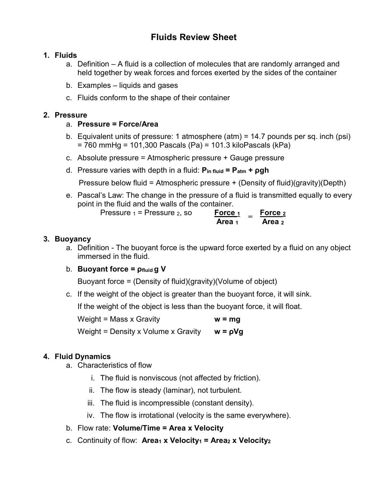# Fluids Review Sheet

### 1. Fluids

- a. Definition A fluid is a collection of molecules that are randomly arranged and held together by weak forces and forces exerted by the sides of the container
- b. Examples liquids and gases
- c. Fluids conform to the shape of their container

### 2. Pressure

- a. Pressure = Force/Area
- b. Equivalent units of pressure: 1 atmosphere (atm) = 14.7 pounds per sq. inch (psi) = 760 mmHg = 101,300 Pascals (Pa) = 101.3 kiloPascals (kPa)
- c. Absolute pressure = Atmospheric pressure + Gauge pressure
- d. Pressure varies with depth in a fluid:  $P_{\text{in fluid}} = P_{\text{atm}} + \rho gh$

Pressure below fluid = Atmospheric pressure + (Density of fluid)(gravity)(Depth)

e. Pascal's Law: The change in the pressure of a fluid is transmitted equally to every point in the fluid and the walls of the container.

| Pressure $_1$ = Pressure $_2$ , so | Force 1 | Force <sub>2</sub> |
|------------------------------------|---------|--------------------|
|                                    | Area 1  | Area 2             |

## 3. Buoyancy

- a. Definition The buoyant force is the upward force exerted by a fluid on any object immersed in the fluid.
- b. Buoyant force =  $\rho_{fluid} q V$

Buoyant force = (Density of fluid)(gravity)(Volume of object)

c. If the weight of the object is greater than the buoyant force, it will sink.

If the weight of the object is less than the buoyant force, it will float.

Weight = Mass x Gravity  $w = mg$ 

Weight = Density x Volume x Gravity  $w = \rho Vq$ 

## 4. Fluid Dynamics

- a. Characteristics of flow
	- i. The fluid is nonviscous (not affected by friction).
	- ii. The flow is steady (laminar), not turbulent.
	- iii. The fluid is incompressible (constant density).
	- iv. The flow is irrotational (velocity is the same everywhere).
- b. Flow rate: Volume/Time = Area x Velocity
- c. Continuity of flow: Area<sub>1</sub> x Velocity<sub>1</sub> = Area<sub>2</sub> x Velocity<sub>2</sub>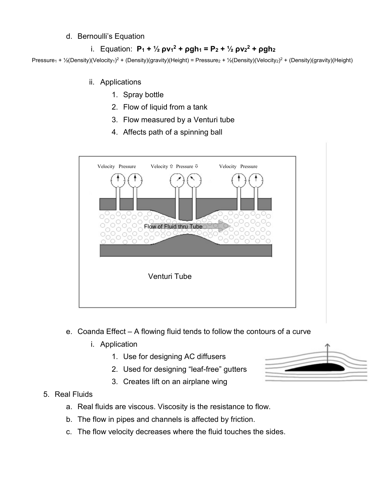#### d. Bernoulli's Equation

## i. Equation:  $P_1 + \frac{1}{2} \rho v_1^2 + \rho g h_1 = P_2 + \frac{1}{2} \rho v_2^2 + \rho g h_2$

Pressure<sub>1</sub> + ½(Density)(Velocity<sub>1</sub>)<sup>2</sup> + (Density)(gravity)(Height) = Pressure<sub>2</sub> + ½(Density)(Velocity<sub>2</sub>)<sup>2</sup> + (Density)(gravity)(Height)

- ii. Applications
	- 1. Spray bottle
	- 2. Flow of liquid from a tank
	- 3. Flow measured by a Venturi tube
	- 4. Affects path of a spinning ball



- e. Coanda Effect A flowing fluid tends to follow the contours of a curve
	- i. Application
		- 1. Use for designing AC diffusers
		- 2. Used for designing "leaf-free" gutters
		- 3. Creates lift on an airplane wing

#### 5. Real Fluids

- a. Real fluids are viscous. Viscosity is the resistance to flow.
- b. The flow in pipes and channels is affected by friction.
- c. The flow velocity decreases where the fluid touches the sides.